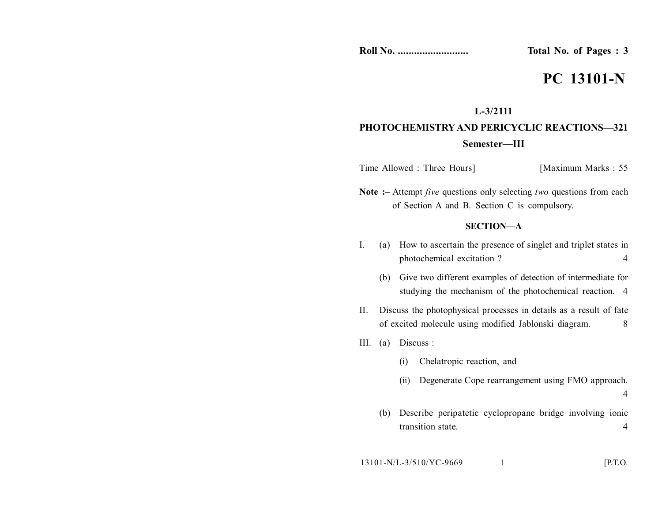**Roll No. .......................... Total No. of Pages : 3**

# **PC 13101-N**

### **L-3/2111**

## **PHOTOCHEMISTRYAND PERICYCLIC REACTIONS—321 Semester—III**

Time Allowed : Three Hours] [Maximum Marks : 55]

**Note :–** Attempt *five* questions only selecting *two* questions from each of Section A and B. Section C is compulsory.

#### **SECTION—A**

- I. (a) How to ascertain the presence of singlet and triplet states in photochemical excitation ? 4
	- (b) Give two different examples of detection of intermediate for studying the mechanism of the photochemical reaction. 4
- II. Discuss the photophysical processes in details as a result of fate of excited molecule using modified Jablonski diagram. 8
- III. (a) Discuss :
	- (i) Chelatropic reaction, and
	- (ii) Degenerate Cope rearrangement using FMO approach. 4
	- (b) Describe peripatetic cyclopropane bridge involving ionic transition state. 4

$$
13101-N/L-3/510/YC-9669 \t\t 1
$$
 [P.T.O.